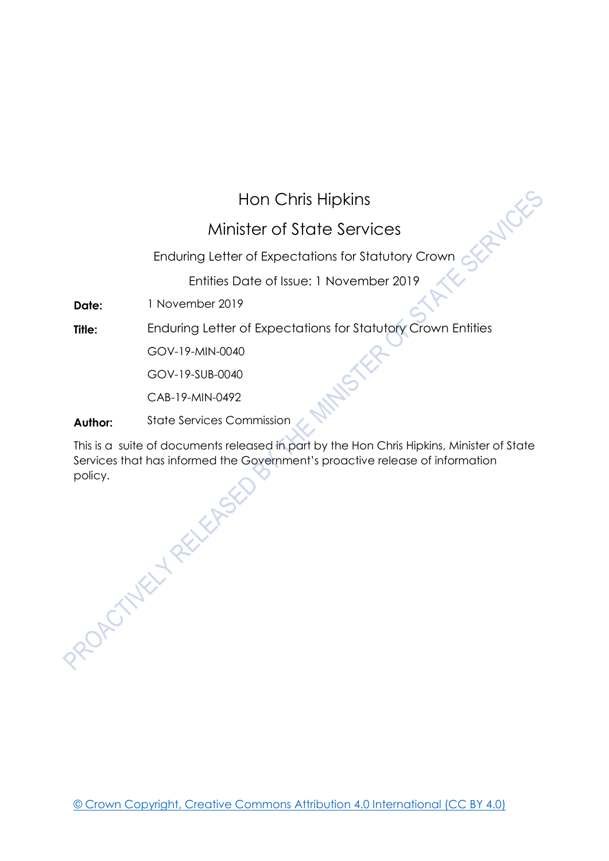## Hon Chris Hipkins

## Minister of State Services

## Enduring Letter of Expectations for Statutory Crown

Entities Date of Issue: 1 November 2019

**Date:** 1 November 2019

**Title:** Enduring Letter of Expectations for Statutory Crown Entities

GOV-19-MIN-0040

GOV-19-SUB-0040

CAB-19-MIN-0492

**Author:** State Services Commission

This is a suite of documents released in part by the Hon Chris Hipkins, Minister of State Services that has informed the Government's proactive release of information policy.<br>ROACTNELL RELEASE

[© Crown Copyright, Creative Commons Attribution 4.0 International \(CC BY 4.0\)](https://creativecommons.org/licenses/by/4.0/)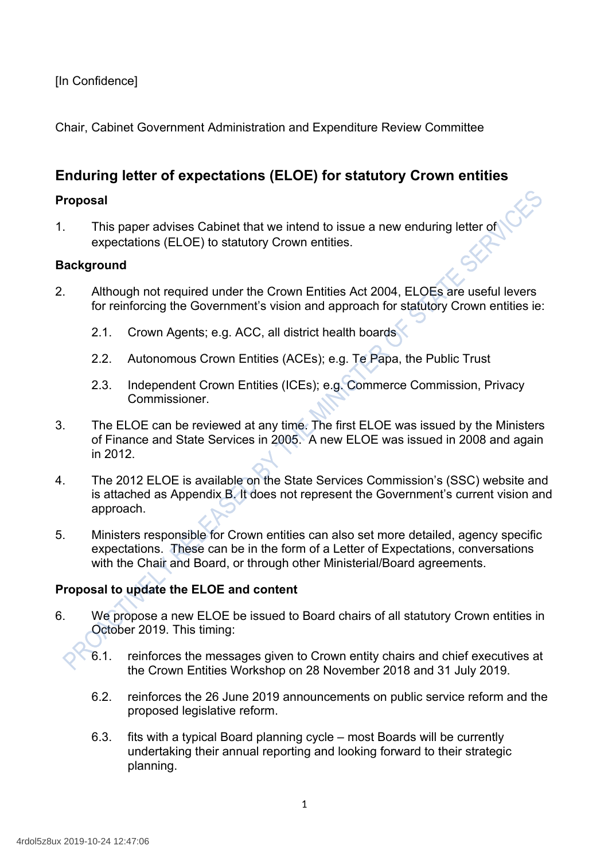## [In Confidence]

Chair, Cabinet Government Administration and Expenditure Review Committee

## **Enduring letter of expectations (ELOE) for statutory Crown entities**

### **Proposal**

1. This paper advises Cabinet that we intend to issue a new enduring letter of expectations (ELOE) to statutory Crown entities.

### **Background**

- 2. Although not required under the Crown Entities Act 2004, ELOEs are useful levers for reinforcing the Government's vision and approach for statutory Crown entities ie:
	- 2.1. Crown Agents; e.g. ACC, all district health boards
	- 2.2. Autonomous Crown Entities (ACEs); e.g. Te Papa, the Public Trust
	- 2.3. Independent Crown Entities (ICEs); e.g. Commerce Commission, Privacy Commissioner.
- 3. The ELOE can be reviewed at any time. The first ELOE was issued by the Ministers of Finance and State Services in 2005. A new ELOE was issued in 2008 and again in 2012.
- 4. The 2012 ELOE is available on the State Services Commission's (SSC) website and is attached as Appendix B. It does not represent the Government's current vision and approach.
- 5. Ministers responsible for Crown entities can also set more detailed, agency specific expectations. These can be in the form of a Letter of Expectations, conversations with the Chair and Board, or through other Ministerial/Board agreements.

## **Proposal to update the ELOE and content**

- 6. We propose a new ELOE be issued to Board chairs of all statutory Crown entities in October 2019. This timing:
	- 6.1. reinforces the messages given to Crown entity chairs and chief executives at the Crown Entities Workshop on 28 November 2018 and 31 July 2019.
	- 6.2. reinforces the 26 June 2019 announcements on public service reform and the proposed legislative reform.
	- 6.3. fits with a typical Board planning cycle most Boards will be currently undertaking their annual reporting and looking forward to their strategic planning.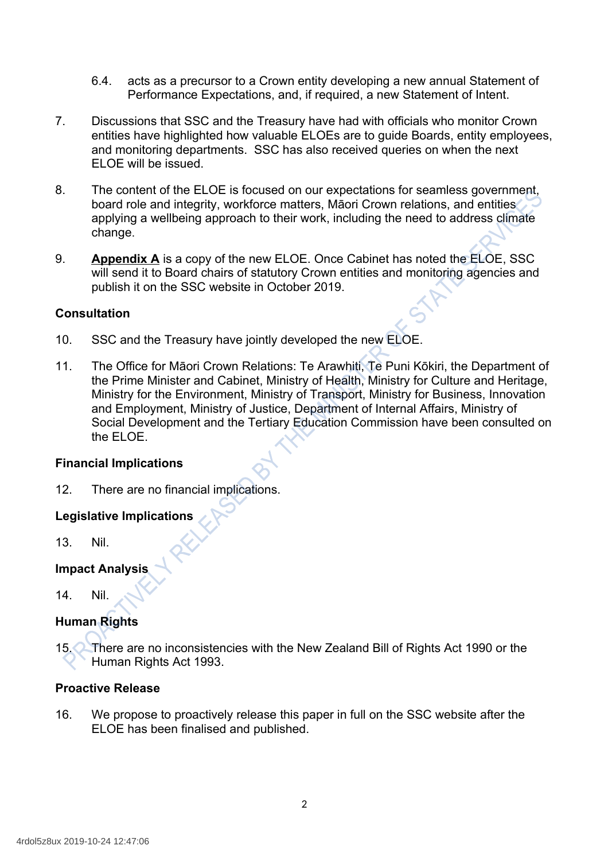- 6.4. acts as a precursor to a Crown entity developing a new annual Statement of Performance Expectations, and, if required, a new Statement of Intent.
- 7. Discussions that SSC and the Treasury have had with officials who monitor Crown entities have highlighted how valuable ELOEs are to guide Boards, entity employees, and monitoring departments. SSC has also received queries on when the next ELOE will be issued.
- 8. The content of the ELOE is focused on our expectations for seamless government, board role and integrity, workforce matters, Māori Crown relations, and entities applying a wellbeing approach to their work, including the need to address climate change.
- 9. **Appendix A** is a copy of the new ELOE. Once Cabinet has noted the ELOE, SSC will send it to Board chairs of statutory Crown entities and monitoring agencies and publish it on the SSC website in October 2019.

### **Consultation**

- 10. SSC and the Treasury have jointly developed the new ELOE.
- 11. The Office for Māori Crown Relations: Te Arawhiti, Te Puni Kōkiri, the Department of the Prime Minister and Cabinet, Ministry of Health, Ministry for Culture and Heritage, Ministry for the Environment, Ministry of Transport, Ministry for Business, Innovation and Employment, Ministry of Justice, Department of Internal Affairs, Ministry of Social Development and the Tertiary Education Commission have been consulted on the ELOE.

### **Financial Implications**

12. There are no financial implications.

## **Legislative Implications**

13. Nil.

## **Impact Analysis**

14. Nil.

## **Human Rights**

15. There are no inconsistencies with the New Zealand Bill of Rights Act 1990 or the Human Rights Act 1993.

### **Proactive Release**

16. We propose to proactively release this paper in full on the SSC website after the ELOE has been finalised and published.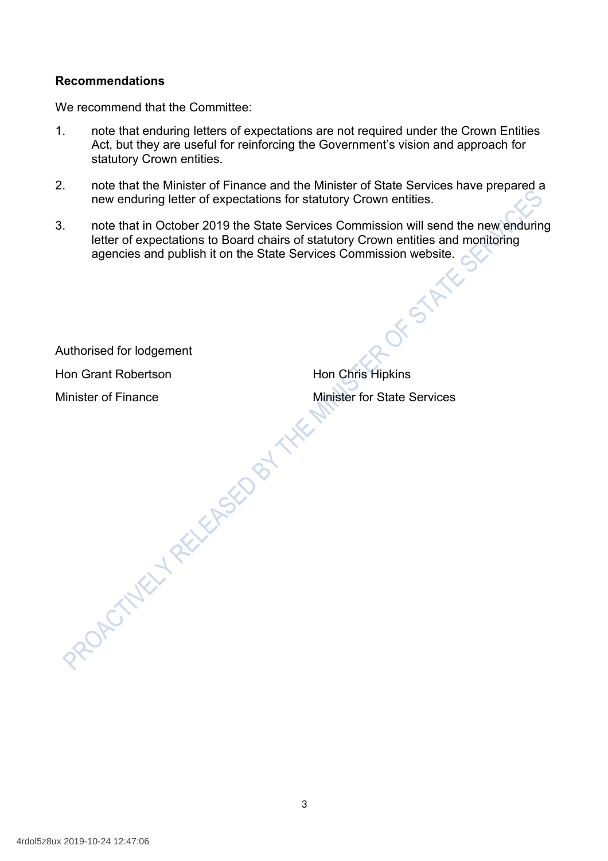### **Recommendations**

We recommend that the Committee:

- 1. note that enduring letters of expectations are not required under the Crown Entities Act, but they are useful for reinforcing the Government's vision and approach for statutory Crown entities.
- 2. note that the Minister of Finance and the Minister of State Services have prepared a new enduring letter of expectations for statutory Crown entities.
- 3. note that in October 2019 the State Services Commission will send the new enduring letter of expectations to Board chairs of statutory Crown entities and monitoring agencies and publish it on the State Services Commission website.

Authorised for lodgement

Hon Grant Robertson **Hon Chris Hipkins** 

Minister of Finance<br>Minister for State Services<br>ROAD VIELY RECORD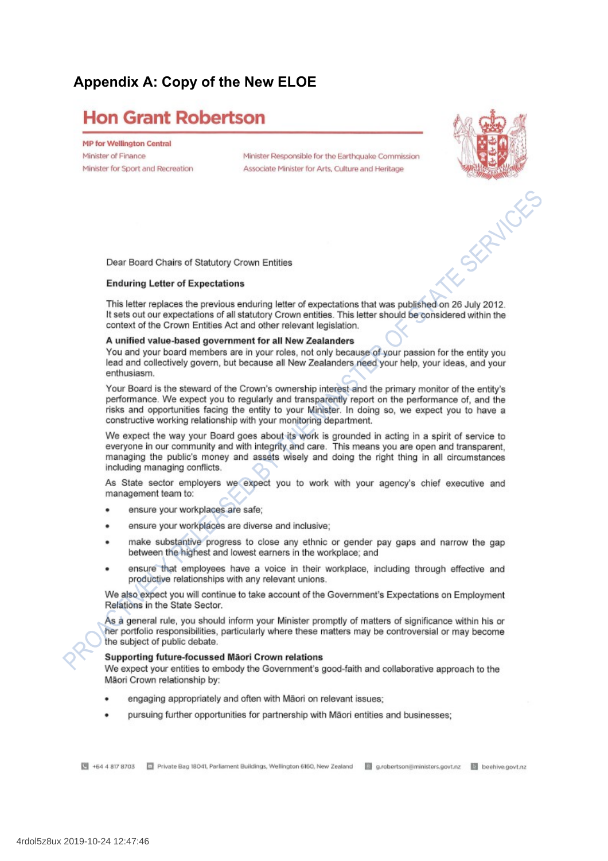## Appendix A: Copy of the New ELOE

## **Hon Grant Robertson**

**MP for Wellington Central** Minister of Finance Minister for Sport and Recreation

Minister Responsible for the Earthcuake Commission Associate Minister for Arts, Culture and Heritage



Dear Board Chairs of Statutory Crown Entities

#### **Enduring Letter of Expectations**

This letter replaces the previous enduring letter of expectations that was published on 26 July 2012. It sets out our expectations of all statutory Crown entities. This letter should be considered within the context of the Crown Entities Act and other relevant legislation.

#### A unified value-based government for all New Zealanders

You and your board members are in your roles, not only because of your passion for the entity you lead and collectively govern, but because all New Zealanders need your help, your ideas, and your enthusiasm.

Your Board is the steward of the Crown's ownership interest and the primary monitor of the entity's performance. We expect you to regularly and transparently report on the performance of, and the risks and opportunities facing the entity to your Minister. In doing so, we expect you to have a constructive working relationship with your monitoring department.

We expect the way your Board goes about its work is grounded in acting in a spirit of service to everyone in our community and with integrity and care. This means you are open and transparent, managing the public's money and assets wisely and doing the right thing in all circumstances including managing conflicts.

As State sector employers we expect you to work with your agency's chief executive and management team to:

- ensure your workplaces are safe;
- ensure your workplaces are diverse and inclusive:  $\bullet$
- make substantive progress to close any ethnic or gender pay gaps and narrow the gap between the highest and lowest earners in the workplace; and
- ensure that employees have a voice in their workplace, including through effective and productive relationships with any relevant unions.

We also expect you will continue to take account of the Government's Expectations on Employment Relations in the State Sector.

As à general rule, you should inform your Minister promptly of matters of significance within his or her portfolio responsibilities, particularly where these matters may be controversial or may become the subject of public debate.

#### Supporting future-focussed Māori Crown relations

We expect your entities to embody the Government's good-faith and collaborative approach to the Mäori Crown relationship by:

- engaging appropriately and often with Māori on relevant issues;
- pursuing further opportunities for partnership with Māori entities and businesses;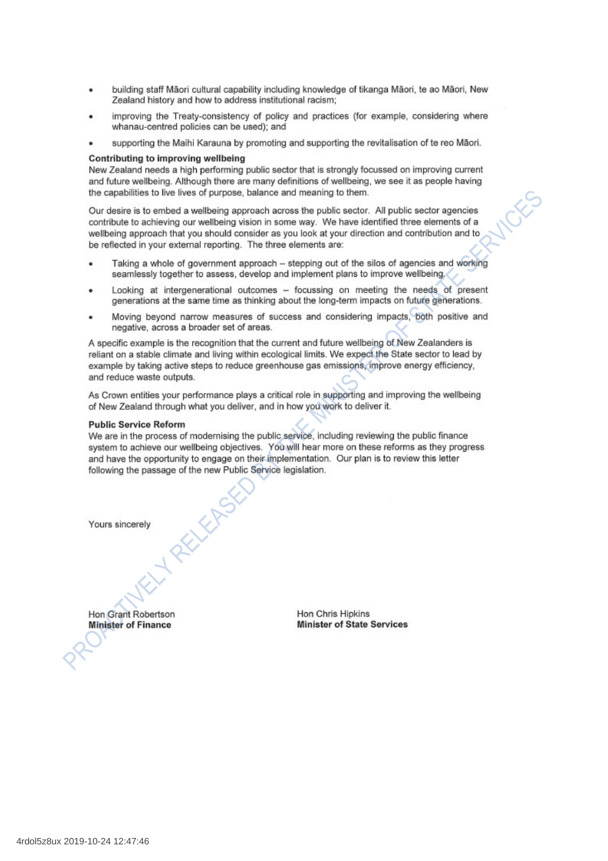- building staff Māori cultural capability including knowledge of tikanga Māori, te ao Māori, New ٠ Zealand history and how to address institutional racism;
- improving the Treaty-consistency of policy and practices (for example, considering where  $\bullet$ whanau-centred policies can be used); and
- supporting the Maihi Karauna by promoting and supporting the revitalisation of te reo Māori.

#### Contributing to improving wellbeing

New Zealand needs a high performing public sector that is strongly focussed on improving current and future wellbeing. Although there are many definitions of wellbeing, we see it as people having the capabilities to live lives of purpose, balance and meaning to them.

Our desire is to embed a wellbeing approach across the public sector. All public sector agencies contribute to achieving our wellbeing vision in some way. We have identified three elements of a wellbeing approach that you should consider as you look at your direction and contribution and to be reflected in your external reporting. The three elements are:

- Taking a whole of government approach stepping out of the silos of agencies and working seamlessly together to assess, develop and implement plans to improve wellbeing.
- Looking at intergenerational outcomes focussing on meeting the needs of present generations at the same time as thinking about the long-term impacts on future generations.
- Moving beyond narrow measures of success and considering impacts. both positive and  $\blacksquare$ negative, across a broader set of areas.

A specific example is the recognition that the current and future wellbeing of New Zealanders is reliant on a stable climate and living within ecological limits. We expect the State sector to lead by example by taking active steps to reduce greenhouse gas emissions, improve energy efficiency, and reduce waste outputs.

As Crown entities your performance plays a critical role in supporting and improving the wellbeing of New Zealand through what you deliver, and in how you work to deliver it.

#### **Public Service Reform**

We are in the process of modernising the public service, including reviewing the public finance system to achieve our wellbeing objectives. You will hear more on these reforms as they progress and have the opportunity to engage on their implementation. Our plan is to review this letter following the passage of the new Public Service legislation.

Yours sincerely

RELEAS

Hon Grant Robertson **Minister of Finance** 

Hon Chris Hipkins **Minister of State Services**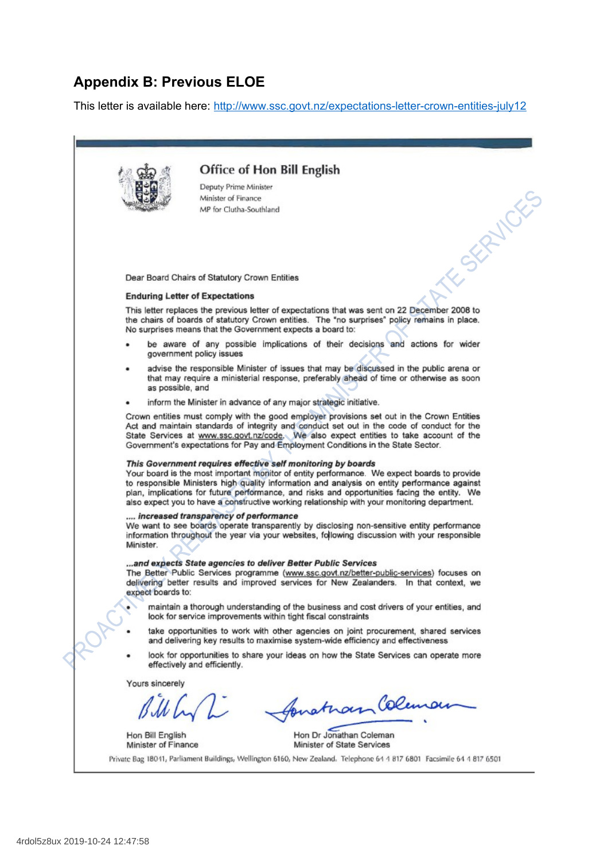## **Appendix B: Previous ELOE**

This letter is available here:<http://www.ssc.govt.nz/expectations-letter-crown-entities-july12>

**Office of Hon Bill English** SERVALYES Deputy Prime Minister Minister of Finance MP for Clutha-Southland Dear Board Chairs of Statutory Crown Entities **Enduring Letter of Expectations** This letter replaces the previous letter of expectations that was sent on 22 December 2008 to the chairs of boards of statutory Crown entities. The "no surprises" policy remains in place. No surprises means that the Government expects a board to: be aware of any possible implications of their decisions and actions for wider government policy issues advise the responsible Minister of issues that may be discussed in the public arena or that may require a ministerial response, preferably ahead of time or otherwise as soon as possible, and inform the Minister in advance of any major strategic initiative. Crown entities must comply with the good employer provisions set out in the Crown Entities Act and maintain standards of integrity and conduct set out in the code of conduct for the<br>State Services at www.ssc.govt.nz/code. We also expect entities to take account of the Government's expectations for Pay and Employment Conditions in the State Sector. This Government requires effective self monitoring by boards Your board is the most important monitor of entity performance. We expect boards to provide to responsible Ministers high quality information and analysis on entity performance against plan, implications for future performance, and risks and opportunities facing the entity. We also expect you to have a constructive working relationship with your monitoring department. ... increased transparency of performance We want to see boards operate transparently by disclosing non-sensitive entity performance information throughout the year via your websites, following discussion with your responsible Minister. ...and expects State agencies to deliver Better Public Services The Better Public Services programme (www.ssc.govt.nz/better-public-services) focuses on delivering better results and improved services for New Zealanders. In that context, we expect boards to: maintain a thorough understanding of the business and cost drivers of your entities, and look for service improvements within tight fiscal constraints take opportunities to work with other agencies on joint procurement, shared services and delivering key results to maximise system-wide efficiency and effectiveness look for opportunities to share your ideas on how the State Services can operate more effectively and efficiently. Yours sincerely bratham Colen Hon Dr Jonathan Coleman Hon Bill English Minister of State Services Minister of Finance Private Bag 18041, Parliament Buildings, Wellington 6160, New Zealand, Telephone 64 4 817 6801 Facsimile 64 4 817 6501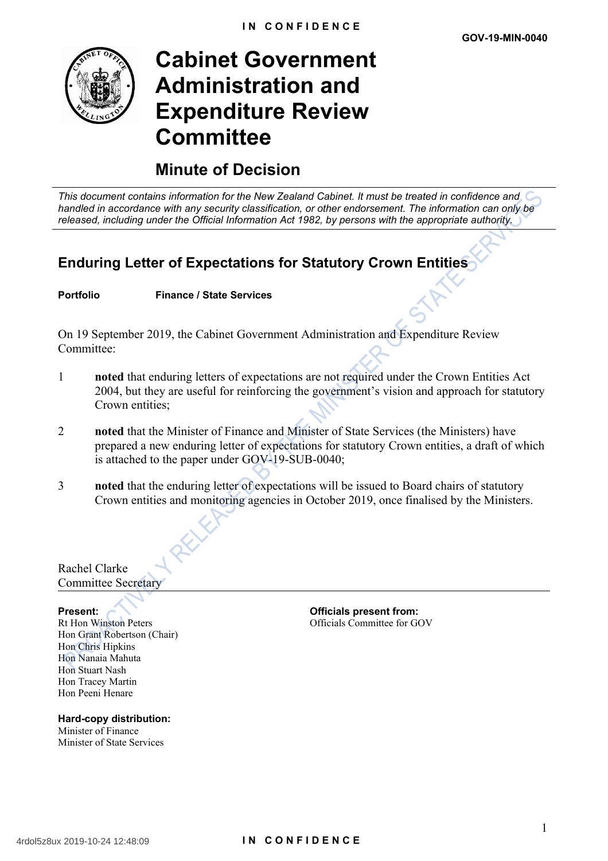

# **Cabinet Government Administration and Expenditure Review Committee**

## **Minute of Decision**

*This document contains information for the New Zealand Cabinet. It must be treated in confidence and handled in accordance with any security classification, or other endorsement. The information can only be released, including under the Official Information Act 1982, by persons with the appropriate authority.*

## **Enduring Letter of Expectations for Statutory Crown Entities**

**Portfolio Finance / State Services**

On 19 September 2019, the Cabinet Government Administration and Expenditure Review Committee<sup>.</sup>

- 1 **noted** that enduring letters of expectations are not required under the Crown Entities Act 2004, but they are useful for reinforcing the government's vision and approach for statutory Crown entities:
- 2 **noted** that the Minister of Finance and Minister of State Services (the Ministers) have prepared a new enduring letter of expectations for statutory Crown entities, a draft of which is attached to the paper under GOV-19-SUB-0040;
- 3 **noted** that the enduring letter of expectations will be issued to Board chairs of statutory Crown entities and monitoring agencies in October 2019, once finalised by the Ministers.

Rachel Clarke Committee Secretary

Rt Hon Winston Peters Hon Grant Robertson (Chair) Hon Chris Hipkins Hon Nanaia Mahuta Hon Stuart Nash Hon Tracey Martin Hon Peeni Henare

**Hard-copy distribution:** Minister of Finance Minister of State Services

**Present: Officials present from:** Officials Committee for GOV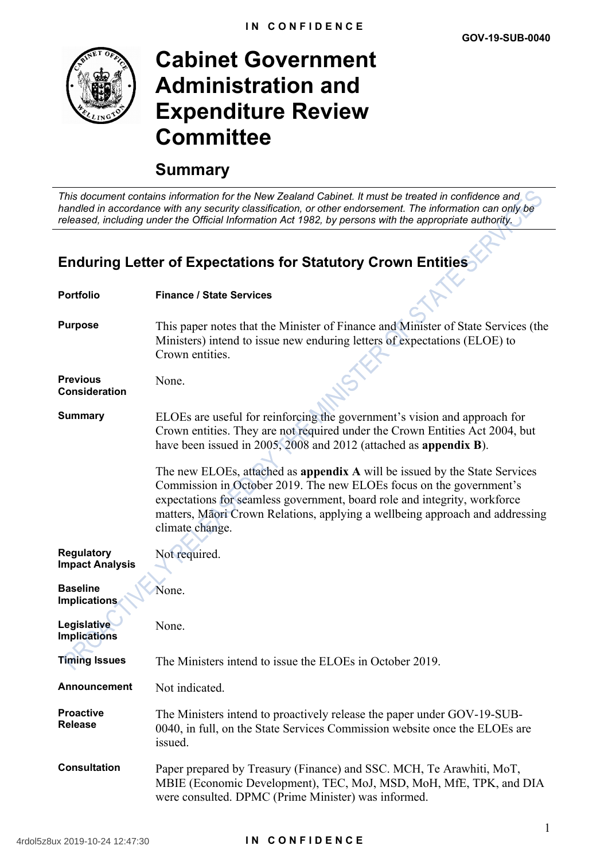

# **Cabinet Government Administration and Expenditure Review Committee**

## **Summary**

*This document contains information for the New Zealand Cabinet. It must be treated in confidence and handled in accordance with any security classification, or other endorsement. The information can only be released, including under the Official Information Act 1982, by persons with the appropriate authority.*

## **Enduring Letter of Expectations for Statutory Crown Entities**

| <b>Portfolio</b>                            | <b>Finance / State Services</b>                                                                                                                                                                                                                                                                                                   |
|---------------------------------------------|-----------------------------------------------------------------------------------------------------------------------------------------------------------------------------------------------------------------------------------------------------------------------------------------------------------------------------------|
| <b>Purpose</b>                              | This paper notes that the Minister of Finance and Minister of State Services (the<br>Ministers) intend to issue new enduring letters of expectations (ELOE) to<br>Crown entities.                                                                                                                                                 |
| <b>Previous</b><br><b>Consideration</b>     | None.                                                                                                                                                                                                                                                                                                                             |
| <b>Summary</b>                              | ELOEs are useful for reinforcing the government's vision and approach for<br>Crown entities. They are not required under the Crown Entities Act 2004, but<br>have been issued in 2005, 2008 and 2012 (attached as appendix B).                                                                                                    |
|                                             | The new ELOEs, attached as appendix A will be issued by the State Services<br>Commission in October 2019. The new ELOEs focus on the government's<br>expectations for seamless government, board role and integrity, workforce<br>matters, Māori Crown Relations, applying a wellbeing approach and addressing<br>climate change. |
| <b>Regulatory</b><br><b>Impact Analysis</b> | Not required.                                                                                                                                                                                                                                                                                                                     |
| <b>Baseline</b><br><b>Implications</b>      | None.                                                                                                                                                                                                                                                                                                                             |
| Legislative<br><b>Implications</b>          | None.                                                                                                                                                                                                                                                                                                                             |
| <b>Timing Issues</b>                        | The Ministers intend to issue the ELOEs in October 2019.                                                                                                                                                                                                                                                                          |
| <b>Announcement</b>                         | Not indicated.                                                                                                                                                                                                                                                                                                                    |
| <b>Proactive</b><br><b>Release</b>          | The Ministers intend to proactively release the paper under GOV-19-SUB-<br>0040, in full, on the State Services Commission website once the ELOEs are<br>issued.                                                                                                                                                                  |
| <b>Consultation</b>                         | Paper prepared by Treasury (Finance) and SSC. MCH, Te Arawhiti, MoT,<br>MBIE (Economic Development), TEC, MoJ, MSD, MoH, MfE, TPK, and DIA<br>were consulted. DPMC (Prime Minister) was informed.                                                                                                                                 |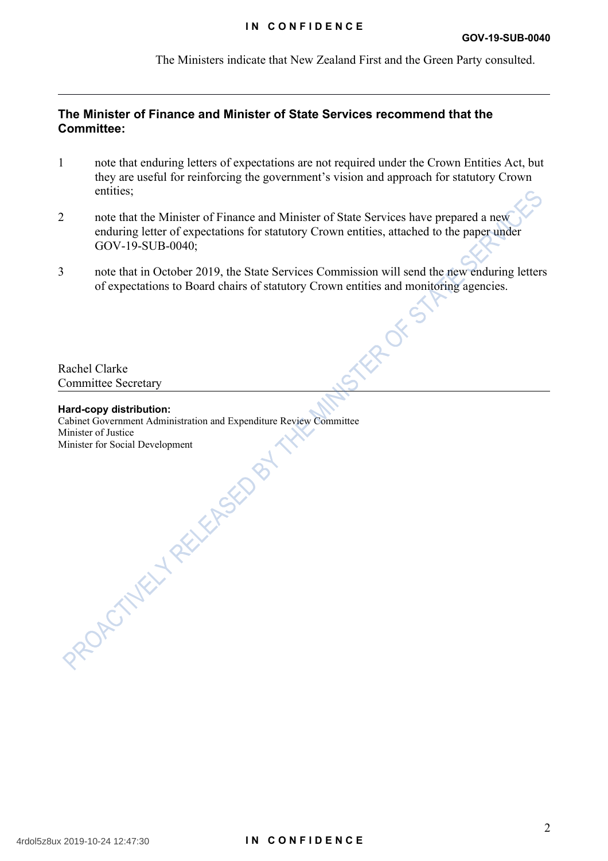#### **IN CONFIDENCE**

The Ministers indicate that New Zealand First and the Green Party consulted.

### **The Minister of Finance and Minister of State Services recommend that the Committee:**

- 1 note that enduring letters of expectations are not required under the Crown Entities Act, but they are useful for reinforcing the government's vision and approach for statutory Crown entities;
- 2 note that the Minister of Finance and Minister of State Services have prepared a new enduring letter of expectations for statutory Crown entities, attached to the paper under GOV-19-SUB-0040;
- 3 note that in October 2019, the State Services Commission will send the new enduring letters of expectations to Board chairs of statutory Crown entities and monitoring agencies.

ROTTS

Rachel Clarke Committee Secretary

#### **Hard-copy distribution:**

Cabinet Government Administration and Expenditure Review Committee Minister of Justice Minister for Social Development